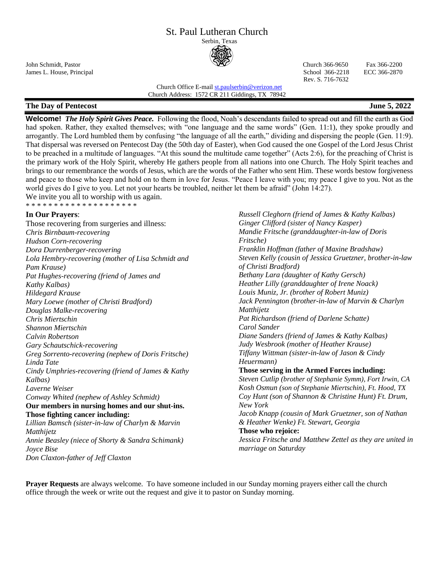# St. Paul Lutheran Church

Serbin, Texas



John Schmidt, Pastor Church 366-9650 Fax 366-2200 James L. House, Principal School 366-2218 ECC 366-2870

Rev. S. 716-7632

#### Church Office E-mai[l st.paulserbin@verizon.net](mailto:st.paulserbin@verizon.net) Church Address: 1572 CR 211 Giddings, TX 78942

## **The Day of Pentecost June 5, 2022**

**Welcome!** *The Holy Spirit Gives Peace.* Following the flood, Noah's descendants failed to spread out and fill the earth as God had spoken. Rather, they exalted themselves; with "one language and the same words" (Gen. 11:1), they spoke proudly and arrogantly. The Lord humbled them by confusing "the language of all the earth," dividing and dispersing the people (Gen. 11:9). That dispersal was reversed on Pentecost Day (the 50th day of Easter), when God caused the one Gospel of the Lord Jesus Christ to be preached in a multitude of languages. "At this sound the multitude came together" (Acts 2:6), for the preaching of Christ is the primary work of the Holy Spirit, whereby He gathers people from all nations into one Church. The Holy Spirit teaches and brings to our remembrance the words of Jesus, which are the words of the Father who sent Him. These words bestow forgiveness and peace to those who keep and hold on to them in love for Jesus. "Peace I leave with you; my peace I give to you. Not as the world gives do I give to you. Let not your hearts be troubled, neither let them be afraid" (John 14:27). We invite you all to worship with us again.

**\* \* \* \* \* \* \* \* \* \* \* \* \* \* \* \* \* \* \*** 

## **In Our Prayers**:

Those recovering from surgeries and illness: *Chris Birnbaum-recovering Hudson Corn-recovering Dora Durrenberger-recovering Lola Hembry-recovering (mother of Lisa Schmidt and Pam Krause) Pat Hughes-recovering (friend of James and Kathy Kalbas) Hildegard Krause Mary Loewe (mother of Christi Bradford) Douglas Malke-recovering Chris Miertschin Shannon Miertschin Calvin Robertson Gary Schautschick-recovering Greg Sorrento-recovering (nephew of Doris Fritsche) Linda Tate Cindy Umphries-recovering (friend of James & Kathy Kalbas) Laverne Weiser Conway Whited (nephew of Ashley Schmidt)* **Our members in nursing homes and our shut-ins. Those fighting cancer including:**  *Lillian Bamsch (sister-in-law of Charlyn & Marvin Matthijetz Annie Beasley (niece of Shorty & Sandra Schimank) Joyce Bise*

*Don Claxton-father of Jeff Claxton*

*Russell Cleghorn (friend of James & Kathy Kalbas) Ginger Clifford (sister of Nancy Kasper) Mandie Fritsche (granddaughter-in-law of Doris Fritsche) Franklin Hoffman (father of Maxine Bradshaw) Steven Kelly (cousin of Jessica Gruetzner, brother-in-law of Christi Bradford) Bethany Lara (daughter of Kathy Gersch) Heather Lilly (granddaughter of Irene Noack) Louis Muniz, Jr. (brother of Robert Muniz) Jack Pennington (brother-in-law of Marvin & Charlyn Matthijetz Pat Richardson (friend of Darlene Schatte) Carol Sander Diane Sanders (friend of James & Kathy Kalbas) Judy Wesbrook (mother of Heather Krause) Tiffany Wittman (sister-in-law of Jason & Cindy Heuermann)* **Those serving in the Armed Forces including:** *Steven Cutlip (brother of Stephanie Symm), Fort Irwin, CA Kosh Osmun (son of Stephanie Miertschin), Ft. Hood, TX Coy Hunt (son of Shannon & Christine Hunt) Ft. Drum, New York Jacob Knapp (cousin of Mark Gruetzner, son of Nathan & Heather Wenke) Ft. Stewart, Georgia* **Those who rejoice:** *Jessica Fritsche and Matthew Zettel as they are united in marriage on Saturday*

**Prayer Requests** are always welcome. To have someone included in our Sunday morning prayers either call the church office through the week or write out the request and give it to pastor on Sunday morning.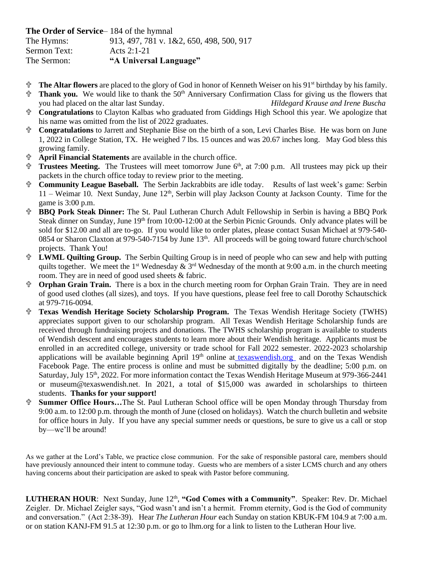**The Order of Service**– 184 of the hymnal

The Hymns: 913, 497, 781 v. 1&2, 650, 498, 500, 917 Sermon Text: Acts 2:1-21

The Sermon: **"A Universal Language"**

- **The Altar flowers** are placed to the glory of God in honor of Kenneth Weiser on his 91<sup>st</sup> birthday by his family.
- **Thank you.** We would like to thank the 50<sup>th</sup> Anniversary Confirmation Class for giving us the flowers that you had placed on the altar last Sunday.*Hildegard Krause and Irene Buscha*
- **Congratulations** to Clayton Kalbas who graduated from Giddings High School this year. We apologize that his name was omitted from the list of 2022 graduates.
- **Congratulations** to Jarrett and Stephanie Bise on the birth of a son, Levi Charles Bise. He was born on June 1, 2022 in College Station, TX. He weighed 7 lbs. 15 ounces and was 20.67 inches long. May God bless this growing family.
- **April Financial Statements** are available in the church office.
- **Trustees Meeting.**The Trustees will meet tomorrow June 6 th , at 7:00 p.m. All trustees may pick up their packets in the church office today to review prior to the meeting.
- **Community League Baseball.** The Serbin Jackrabbits are idle today. Results of last week's game: Serbin  $11 -$  Weimar 10. Next Sunday, June  $12<sup>th</sup>$ , Serbin will play Jackson County at Jackson County. Time for the game is 3:00 p.m.
- **BBQ Pork Steak Dinner:** The St. Paul Lutheran Church Adult Fellowship in Serbin is having a BBQ Pork Steak dinner on Sunday, June 19<sup>th</sup> from 10:00-12:00 at the Serbin Picnic Grounds. Only advance plates will be sold for \$12.00 and all are to-go. If you would like to order plates, please contact Susan Michael at 979-540- 0854 or Sharon Claxton at 979-540-7154 by June 13<sup>th</sup>. All proceeds will be going toward future church/school projects. Thank You!
- **LWML Quilting Group.** The Serbin Quilting Group is in need of people who can sew and help with putting quilts together. We meet the 1<sup>st</sup> Wednesday & 3<sup>rd</sup> Wednesday of the month at 9:00 a.m. in the church meeting room. They are in need of good used sheets & fabric.
- **Orphan Grain Train.** There is a box in the church meeting room for Orphan Grain Train. They are in need of good used clothes (all sizes), and toys. If you have questions, please feel free to call Dorothy Schautschick at 979-716-0094.
- **Texas Wendish Heritage Society Scholarship Program.** The Texas Wendish Heritage Society (TWHS) appreciates support given to our scholarship program. All Texas Wendish Heritage Scholarship funds are received through fundraising projects and donations. The TWHS scholarship program is available to students of Wendish descent and encourages students to learn more about their Wendish heritage. Applicants must be enrolled in an accredited college, university or trade school for Fall 2022 semester. 2022-2023 scholarship applications will be available beginning April  $19<sup>th</sup>$  online at [texaswendish.org](http://www.texaswendish.org/) and on the Texas Wendish Facebook Page. The entire process is online and must be submitted digitally by the deadline; 5:00 p.m. on Saturday, July 15<sup>th</sup>, 2022. For more information contact the Texas Wendish Heritage Museum at 979-366-2441 or museum@texaswendish.net. In 2021, a total of \$15,000 was awarded in scholarships to thirteen students. **Thanks for your support!**
- **Summer Office Hours…**The St. Paul Lutheran School office will be open Monday through Thursday from 9:00 a.m. to 12:00 p.m. through the month of June (closed on holidays). Watch the church bulletin and website for office hours in July. If you have any special summer needs or questions, be sure to give us a call or stop by—we'll be around!

As we gather at the Lord's Table, we practice close communion. For the sake of responsible pastoral care, members should have previously announced their intent to commune today. Guests who are members of a sister LCMS church and any others having concerns about their participation are asked to speak with Pastor before communing.

LUTHERAN HOUR: Next Sunday, June 12<sup>th</sup>, "God Comes with a Community". Speaker: Rev. Dr. Michael Zeigler. Dr. Michael Zeigler says, "God wasn't and isn't a hermit. Fromm eternity, God is the God of community and conversation." (Act 2:38-39). Hear *The Lutheran Hour* each Sunday on station KBUK-FM 104.9 at 7:00 a.m. or on station KANJ-FM 91.5 at 12:30 p.m. or go to lhm.org for a link to listen to the Lutheran Hour live.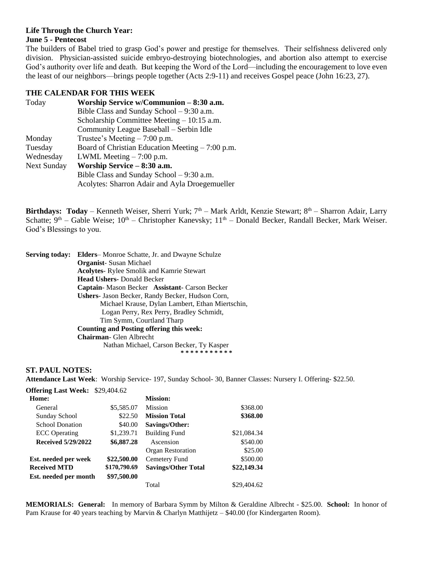#### **Life Through the Church Year: June 5 - Pentecost**

The builders of Babel tried to grasp God's power and prestige for themselves. Their selfishness delivered only division. Physician-assisted suicide embryo-destroying biotechnologies, and abortion also attempt to exercise God's authority over life and death. But keeping the Word of the Lord—including the encouragement to love even the least of our neighbors—brings people together (Acts 2:9-11) and receives Gospel peace (John 16:23, 27).

#### **THE CALENDAR FOR THIS WEEK**

| Today              | Worship Service w/Communion - 8:30 a.m.           |  |  |
|--------------------|---------------------------------------------------|--|--|
|                    | Bible Class and Sunday School – 9:30 a.m.         |  |  |
|                    | Scholarship Committee Meeting $-10:15$ a.m.       |  |  |
|                    | Community League Baseball - Serbin Idle           |  |  |
| Monday             | Trustee's Meeting $-7:00$ p.m.                    |  |  |
| Tuesday            | Board of Christian Education Meeting $-7:00$ p.m. |  |  |
| Wednesday          | LWML Meeting $-7:00$ p.m.                         |  |  |
| <b>Next Sunday</b> | Worship Service - 8:30 a.m.                       |  |  |
|                    | Bible Class and Sunday School $-9:30$ a.m.        |  |  |
|                    | Acolytes: Sharron Adair and Ayla Droegemueller    |  |  |

**Birthdays: Today** – Kenneth Weiser, Sherri Yurk; 7<sup>th</sup> – Mark Arldt, Kenzie Stewart; 8<sup>th</sup> – Sharron Adair, Larry Schatte;  $9<sup>th</sup>$  – Gable Weise;  $10<sup>th</sup>$  – Christopher Kanevsky;  $11<sup>th</sup>$  – Donald Becker, Randall Becker, Mark Weiser. God's Blessings to you.

| <b>Serving today:</b> | <b>Elders-</b> Monroe Schatte, Jr. and Dwayne Schulze |  |  |  |
|-----------------------|-------------------------------------------------------|--|--|--|
|                       | <b>Organist</b> -Susan Michael                        |  |  |  |
|                       | <b>Acolytes-</b> Rylee Smolik and Kamrie Stewart      |  |  |  |
|                       | <b>Head Ushers-</b> Donald Becker                     |  |  |  |
|                       | Captain-Mason Becker Assistant-Carson Becker          |  |  |  |
|                       | Ushers- Jason Becker, Randy Becker, Hudson Corn,      |  |  |  |
|                       | Michael Krause, Dylan Lambert, Ethan Miertschin,      |  |  |  |
|                       | Logan Perry, Rex Perry, Bradley Schmidt,              |  |  |  |
|                       | Tim Symm, Courtland Tharp                             |  |  |  |
|                       | <b>Counting and Posting offering this week:</b>       |  |  |  |
|                       | <b>Chairman</b> - Glen Albrecht                       |  |  |  |
|                       | Nathan Michael, Carson Becker, Ty Kasper              |  |  |  |
|                       | ***********                                           |  |  |  |

#### **ST. PAUL NOTES:**

**Attendance Last Week**: Worship Service- 197, Sunday School- 30, Banner Classes: Nursery I. Offering- \$22.50.

| <b>Offering Last Week: \$29,404.62</b> |              |                            |             |
|----------------------------------------|--------------|----------------------------|-------------|
| Home:                                  |              | <b>Mission:</b>            |             |
| General                                | \$5,585.07   | <b>Mission</b>             | \$368.00    |
| Sunday School                          | \$22.50      | <b>Mission Total</b>       | \$368.00    |
| <b>School Donation</b>                 | \$40.00      | Savings/Other:             |             |
| <b>ECC</b> Operating                   | \$1,239.71   | <b>Building Fund</b>       | \$21,084.34 |
| <b>Received 5/29/2022</b>              | \$6,887.28   | Ascension                  | \$540.00    |
|                                        |              | Organ Restoration          | \$25.00     |
| Est. needed per week                   | \$22,500.00  | Cemetery Fund              | \$500.00    |
| <b>Received MTD</b>                    | \$170,790.69 | <b>Savings/Other Total</b> | \$22,149.34 |
| Est. needed per month                  | \$97,500.00  |                            |             |
|                                        |              | Total                      | \$29,404.62 |

**MEMORIALS: General:** In memory of Barbara Symm by Milton & Geraldine Albrecht - \$25.00. **School:** In honor of Pam Krause for 40 years teaching by Marvin & Charlyn Matthijetz – \$40.00 (for Kindergarten Room).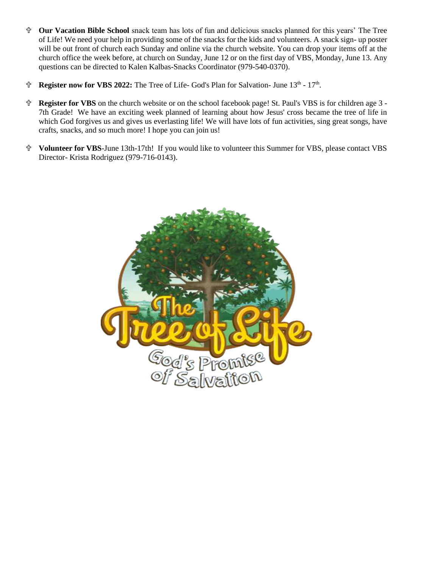- **Our Vacation Bible School** snack team has lots of fun and delicious snacks planned for this years' The Tree of Life! We need your help in providing some of the snacks for the kids and volunteers. A snack sign- up poster will be out front of church each Sunday and online via the church website. You can drop your items off at the church office the week before, at church on Sunday, June 12 or on the first day of VBS, Monday, June 13. Any questions can be directed to Kalen Kalbas-Snacks Coordinator (979-540-0370).
- <sup>t</sup> Register now for VBS 2022: The Tree of Life-God's Plan for Salvation- June 13<sup>th</sup> 17<sup>th</sup>.
- **Register for VBS** on the church website or on the school facebook page! St. Paul's VBS is for children age 3 7th Grade! We have an exciting week planned of learning about how Jesus' cross became the tree of life in which God forgives us and gives us everlasting life! We will have lots of fun activities, sing great songs, have crafts, snacks, and so much more! I hope you can join us!
- **Volunteer for VBS**-June 13th-17th! If you would like to volunteer this Summer for VBS, please contact VBS Director- Krista Rodriguez (979-716-0143).